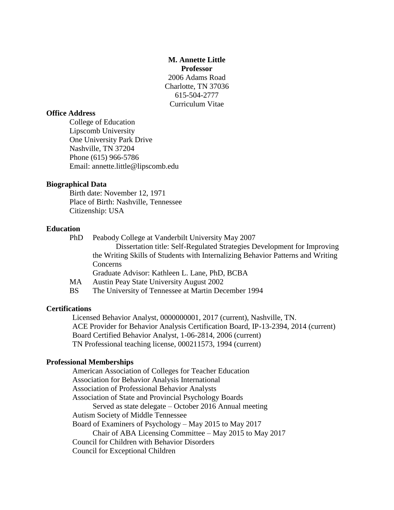**M. Annette Little Professor** 2006 Adams Road Charlotte, TN 37036 615-504-2777 Curriculum Vitae

### **Office Address**

College of Education Lipscomb University One University Park Drive Nashville, TN 37204 Phone (615) 966-5786 Email: annette.little@lipscomb.edu

# **Biographical Data**

Birth date: November 12, 1971 Place of Birth: Nashville, Tennessee Citizenship: USA

#### **Education**

PhD Peabody College at Vanderbilt University May 2007 Dissertation title: Self-Regulated Strategies Development for Improving the Writing Skills of Students with Internalizing Behavior Patterns and Writing Concerns Graduate Advisor: Kathleen L. Lane, PhD, BCBA MA Austin Peay State University August 2002 BS The University of Tennessee at Martin December 1994

#### **Certifications**

Licensed Behavior Analyst, 0000000001, 2017 (current), Nashville, TN. ACE Provider for Behavior Analysis Certification Board, IP-13-2394, 2014 (current) Board Certified Behavior Analyst, 1-06-2814, 2006 (current) TN Professional teaching license, 000211573, 1994 (current)

#### **Professional Memberships**

American Association of Colleges for Teacher Education Association for Behavior Analysis International Association of Professional Behavior Analysts Association of State and Provincial Psychology Boards Served as state delegate – October 2016 Annual meeting Autism Society of Middle Tennessee Board of Examiners of Psychology – May 2015 to May 2017 Chair of ABA Licensing Committee – May 2015 to May 2017 Council for Children with Behavior Disorders Council for Exceptional Children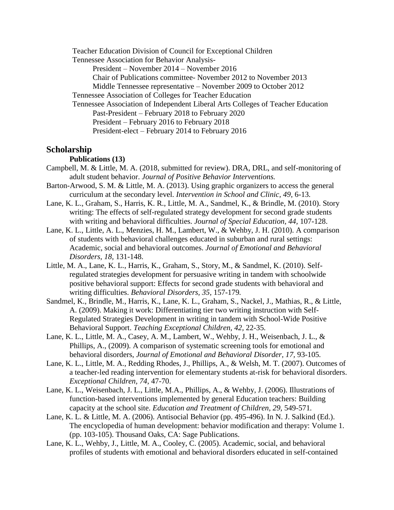Teacher Education Division of Council for Exceptional Children Tennessee Association for Behavior Analysis-President – November 2014 – November 2016 Chair of Publications committee- November 2012 to November 2013 Middle Tennessee representative – November 2009 to October 2012 Tennessee Association of Colleges for Teacher Education Tennessee Association of Independent Liberal Arts Colleges of Teacher Education Past-President – February 2018 to February 2020 President – February 2016 to February 2018 President-elect – February 2014 to February 2016

# **Scholarship**

### **Publications (13)**

- Campbell, M. & Little, M. A. (2018, submitted for review). DRA, DRL, and self-monitoring of adult student behavior. *Journal of Positive Behavior Interventions.*
- Barton-Arwood, S. M. & Little, M. A. (2013). Using graphic organizers to access the general curriculum at the secondary level. *Intervention in School and Clinic, 49*, 6-13*.*
- Lane, K. L., Graham, S., Harris, K. R., Little, M. A., Sandmel, K., & Brindle, M. (2010). Story writing: The effects of self-regulated strategy development for second grade students with writing and behavioral difficulties. *Journal of Special Education, 44,* 107-128.
- Lane, K. L., Little, A. L., Menzies, H. M., Lambert, W., & Wehby, J. H. (2010). A comparison of students with behavioral challenges educated in suburban and rural settings: Academic, social and behavioral outcomes. *Journal of Emotional and Behavioral Disorders, 18,* 131-148.
- Little, M. A., Lane, K. L., Harris, K., Graham, S., Story, M., & Sandmel, K. (2010). Selfregulated strategies development for persuasive writing in tandem with schoolwide positive behavioral support: Effects for second grade students with behavioral and writing difficulties. *Behavioral Disorders, 35,* 157-179*.*
- Sandmel, K., Brindle, M., Harris, K., Lane, K. L., Graham, S., Nackel, J., Mathias, R., & Little, A. (2009). Making it work: Differentiating tier two writing instruction with Self-Regulated Strategies Development in writing in tandem with School-Wide Positive Behavioral Support. *Teaching Exceptional Children, 42,* 22-35*.*
- Lane, K. L., Little, M. A., Casey, A. M., Lambert, W., Wehby, J. H., Weisenbach, J. L., & Phillips, A., (2009). A comparison of systematic screening tools for emotional and behavioral disorders, *Journal of Emotional and Behavioral Disorder, 17,* 93-105*.*
- Lane, K. L., Little, M. A., Redding Rhodes, J., Phillips, A., & Welsh, M. T. (2007). Outcomes of a teacher-led reading intervention for elementary students at-risk for behavioral disorders. *Exceptional Children, 74,* 47-70.
- Lane, K. L., Weisenbach, J. L., Little, M.A., Phillips, A., & Wehby, J. (2006). Illustrations of function-based interventions implemented by general Education teachers: Building capacity at the school site. *Education and Treatment of Children, 29,* 549-571*.*
- Lane, K. L. & Little, M. A. (2006). Antisocial Behavior (pp. 495-496). In N. J. Salkind (Ed.). The encyclopedia of human development: behavior modification and therapy: Volume 1. (pp. 103-105). Thousand Oaks, CA: Sage Publications.
- Lane, K. L., Wehby, J., Little, M. A., Cooley, C. (2005). Academic, social, and behavioral profiles of students with emotional and behavioral disorders educated in self-contained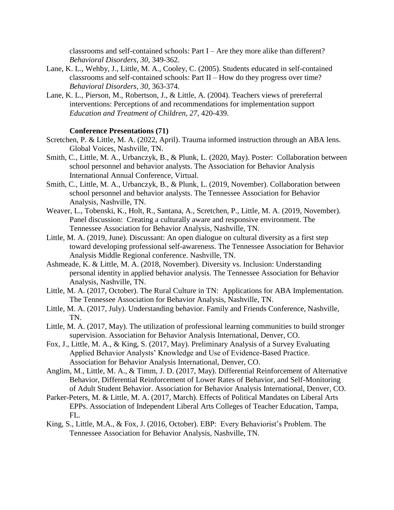classrooms and self-contained schools: Part I – Are they more alike than different? *Behavioral Disorders, 30,* 349-362.

- Lane, K. L., Wehby, J., Little, M. A., Cooley, C. (2005). Students educated in self-contained classrooms and self-contained schools: Part II – How do they progress over time? *Behavioral Disorders, 30,* 363-374.
- Lane, K. L., Pierson, M., Robertson, J., & Little, A. (2004). Teachers views of prereferral interventions: Perceptions of and recommendations for implementation support *Education and Treatment of Children, 27,* 420-439.

### **Conference Presentations (71)**

- Scretchen, P. & Little, M. A. (2022, April). Trauma informed instruction through an ABA lens. Global Voices, Nashville, TN.
- Smith, C., Little, M. A., Urbanczyk, B., & Plunk, L. (2020, May). Poster: Collaboration between school personnel and behavior analysts. The Association for Behavior Analysis International Annual Conference, Virtual.
- Smith, C., Little, M. A., Urbanczyk, B., & Plunk, L. (2019, November). Collaboration between school personnel and behavior analysts. The Tennessee Association for Behavior Analysis, Nashville, TN.
- Weaver, L., Tobenski, K., Holt, R., Santana, A., Scretchen, P., Little, M. A. (2019, November). Panel discussion: Creating a culturally aware and responsive environment. The Tennessee Association for Behavior Analysis, Nashville, TN.
- Little, M. A. (2019, June). Discussant: An open dialogue on cultural diversity as a first step toward developing professional self-awareness. The Tennessee Association for Behavior Analysis Middle Regional conference. Nashville, TN.
- Ashmeade, K. & Little, M. A. (2018, November). Diversity vs. Inclusion: Understanding personal identity in applied behavior analysis. The Tennessee Association for Behavior Analysis, Nashville, TN.
- Little, M. A. (2017, October). The Rural Culture in TN: Applications for ABA Implementation. The Tennessee Association for Behavior Analysis, Nashville, TN.
- Little, M. A. (2017, July). Understanding behavior. Family and Friends Conference, Nashville, TN.
- Little, M. A. (2017, May). The utilization of professional learning communities to build stronger supervision. Association for Behavior Analysis International, Denver, CO.
- Fox, J., Little, M. A., & King, S. (2017, May). Preliminary Analysis of a Survey Evaluating Applied Behavior Analysts' Knowledge and Use of Evidence-Based Practice. Association for Behavior Analysis International, Denver, CO.
- Anglim, M., Little, M. A., & Timm, J. D. (2017, May). Differential Reinforcement of Alternative Behavior, Differential Reinforcement of Lower Rates of Behavior, and Self-Monitoring of Adult Student Behavior. Association for Behavior Analysis International, Denver, CO.
- Parker-Peters, M. & Little, M. A. (2017, March). Effects of Political Mandates on Liberal Arts EPPs. Association of Independent Liberal Arts Colleges of Teacher Education, Tampa, FL.
- King, S., Little, M.A., & Fox, J. (2016, October). EBP: Every Behaviorist's Problem. The Tennessee Association for Behavior Analysis, Nashville, TN.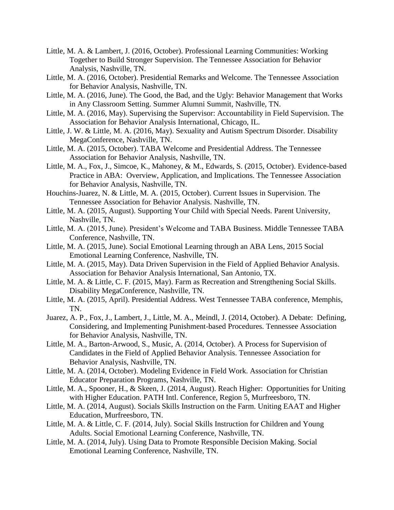- Little, M. A. & Lambert, J. (2016, October). Professional Learning Communities: Working Together to Build Stronger Supervision. The Tennessee Association for Behavior Analysis, Nashville, TN.
- Little, M. A. (2016, October). Presidential Remarks and Welcome. The Tennessee Association for Behavior Analysis, Nashville, TN.
- Little, M. A. (2016, June). The Good, the Bad, and the Ugly: Behavior Management that Works in Any Classroom Setting. Summer Alumni Summit, Nashville, TN.
- Little, M. A. (2016, May). Supervising the Supervisor: Accountability in Field Supervision. The Association for Behavior Analysis International, Chicago, IL.
- Little, J. W. & Little, M. A. (2016, May). Sexuality and Autism Spectrum Disorder. Disability MegaConference, Nashville, TN.
- Little, M. A. (2015, October). TABA Welcome and Presidential Address. The Tennessee Association for Behavior Analysis, Nashville, TN.
- Little, M. A., Fox, J., Simcoe, K., Mahoney, & M., Edwards, S. (2015, October). Evidence-based Practice in ABA: Overview, Application, and Implications. The Tennessee Association for Behavior Analysis, Nashville, TN.
- Houchins-Juarez, N. & Little, M. A. (2015, October). Current Issues in Supervision. The Tennessee Association for Behavior Analysis. Nashville, TN.
- Little, M. A. (2015, August). Supporting Your Child with Special Needs. Parent University, Nashville, TN.
- Little, M. A. (2015, June). President's Welcome and TABA Business. Middle Tennessee TABA Conference, Nashville, TN.
- Little, M. A. (2015, June). Social Emotional Learning through an ABA Lens, 2015 Social Emotional Learning Conference, Nashville, TN.
- Little, M. A. (2015, May). Data Driven Supervision in the Field of Applied Behavior Analysis. Association for Behavior Analysis International, San Antonio, TX.
- Little, M. A. & Little, C. F. (2015, May). Farm as Recreation and Strengthening Social Skills. Disability MegaConference, Nashville, TN.
- Little, M. A. (2015, April). Presidential Address. West Tennessee TABA conference, Memphis, TN.
- Juarez, A. P., Fox, J., Lambert, J., Little, M. A., Meindl, J. (2014, October). A Debate: Defining, Considering, and Implementing Punishment-based Procedures. Tennessee Association for Behavior Analysis, Nashville, TN.
- Little, M. A., Barton-Arwood, S., Music, A. (2014, October). A Process for Supervision of Candidates in the Field of Applied Behavior Analysis. Tennessee Association for Behavior Analysis, Nashville, TN.
- Little, M. A. (2014, October). Modeling Evidence in Field Work. Association for Christian Educator Preparation Programs, Nashville, TN.
- Little, M. A., Spooner, H., & Skeen, J. (2014, August). Reach Higher: Opportunities for Uniting with Higher Education. PATH Intl. Conference, Region 5, Murfreesboro, TN.
- Little, M. A. (2014, August). Socials Skills Instruction on the Farm. Uniting EAAT and Higher Education, Murfreesboro, TN.
- Little, M. A. & Little, C. F. (2014, July). Social Skills Instruction for Children and Young Adults. Social Emotional Learning Conference, Nashville, TN.
- Little, M. A. (2014, July). Using Data to Promote Responsible Decision Making. Social Emotional Learning Conference, Nashville, TN.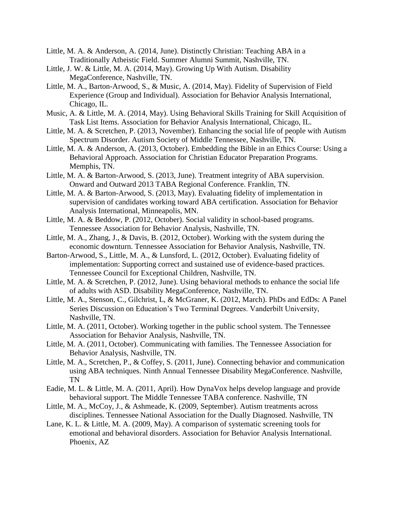- Little, M. A. & Anderson, A. (2014, June). Distinctly Christian: Teaching ABA in a Traditionally Atheistic Field. Summer Alumni Summit, Nashville, TN.
- Little, J. W. & Little, M. A. (2014, May). Growing Up With Autism. Disability MegaConference, Nashville, TN.
- Little, M. A., Barton-Arwood, S., & Music, A. (2014, May). Fidelity of Supervision of Field Experience (Group and Individual). Association for Behavior Analysis International, Chicago, IL.
- Music, A. & Little, M. A. (2014, May). Using Behavioral Skills Training for Skill Acquisition of Task List Items. Association for Behavior Analysis International, Chicago, IL.
- Little, M. A. & Scretchen, P. (2013, November). Enhancing the social life of people with Autism Spectrum Disorder. Autism Society of Middle Tennessee, Nashville, TN.
- Little, M. A. & Anderson, A. (2013, October). Embedding the Bible in an Ethics Course: Using a Behavioral Approach. Association for Christian Educator Preparation Programs. Memphis, TN.
- Little, M. A. & Barton-Arwood, S. (2013, June). Treatment integrity of ABA supervision. Onward and Outward 2013 TABA Regional Conference. Franklin, TN.
- Little, M. A. & Barton-Arwood, S. (2013, May). Evaluating fidelity of implementation in supervision of candidates working toward ABA certification. Association for Behavior Analysis International, Minneapolis, MN.
- Little, M. A. & Beddow, P. (2012, October). Social validity in school-based programs. Tennessee Association for Behavior Analysis, Nashville, TN.
- Little, M. A., Zhang, J., & Davis, B. (2012, October). Working with the system during the economic downturn. Tennessee Association for Behavior Analysis, Nashville, TN.
- Barton-Arwood, S., Little, M. A., & Lunsford, L. (2012, October). Evaluating fidelity of implementation: Supporting correct and sustained use of evidence-based practices. Tennessee Council for Exceptional Children, Nashville, TN.
- Little, M. A. & Scretchen, P. (2012, June). Using behavioral methods to enhance the social life of adults with ASD. Disability MegaConference, Nashville, TN.
- Little, M. A., Stenson, C., Gilchrist, L, & McGraner, K. (2012, March). PhDs and EdDs: A Panel Series Discussion on Education's Two Terminal Degrees. Vanderbilt University, Nashville, TN.
- Little, M. A. (2011, October). Working together in the public school system. The Tennessee Association for Behavior Analysis, Nashville, TN.
- Little, M. A. (2011, October). Communicating with families. The Tennessee Association for Behavior Analysis, Nashville, TN.
- Little, M. A., Scretchen, P., & Coffey, S. (2011, June). Connecting behavior and communication using ABA techniques. Ninth Annual Tennessee Disability MegaConference. Nashville, TN
- Eadie, M. L. & Little, M. A. (2011, April). How DynaVox helps develop language and provide behavioral support. The Middle Tennessee TABA conference. Nashville, TN
- Little, M. A., McCoy, J., & Ashmeade, K. (2009, September). Autism treatments across disciplines. Tennessee National Association for the Dually Diagnosed. Nashville, TN
- Lane, K. L. & Little, M. A. (2009, May). A comparison of systematic screening tools for emotional and behavioral disorders. Association for Behavior Analysis International. Phoenix, AZ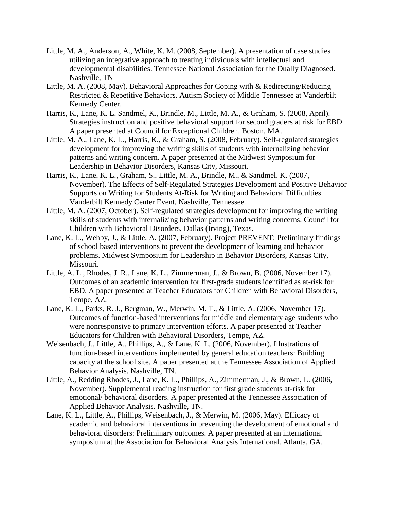- Little, M. A., Anderson, A., White, K. M. (2008, September). A presentation of case studies utilizing an integrative approach to treating individuals with intellectual and developmental disabilities. Tennessee National Association for the Dually Diagnosed. Nashville, TN
- Little, M. A. (2008, May). Behavioral Approaches for Coping with & Redirecting/Reducing Restricted & Repetitive Behaviors. Autism Society of Middle Tennessee at Vanderbilt Kennedy Center.
- Harris, K., Lane, K. L. Sandmel, K., Brindle, M., Little, M. A., & Graham, S. (2008, April). Strategies instruction and positive behavioral support for second graders at risk for EBD. A paper presented at Council for Exceptional Children. Boston, MA.
- Little, M. A., Lane, K. L., Harris, K., & Graham, S. (2008, February). Self-regulated strategies development for improving the writing skills of students with internalizing behavior patterns and writing concern. A paper presented at the Midwest Symposium for Leadership in Behavior Disorders, Kansas City, Missouri.
- Harris, K., Lane, K. L., Graham, S., Little, M. A., Brindle, M., & Sandmel, K. (2007, November). The Effects of Self-Regulated Strategies Development and Positive Behavior Supports on Writing for Students At-Risk for Writing and Behavioral Difficulties. Vanderbilt Kennedy Center Event, Nashville, Tennessee.
- Little, M. A. (2007, October). Self-regulated strategies development for improving the writing skills of students with internalizing behavior patterns and writing concerns. Council for Children with Behavioral Disorders, Dallas (Irving), Texas.
- Lane, K. L., Wehby, J., & Little, A. (2007, February). Project PREVENT: Preliminary findings of school based interventions to prevent the development of learning and behavior problems. Midwest Symposium for Leadership in Behavior Disorders, Kansas City, Missouri.
- Little, A. L., Rhodes, J. R., Lane, K. L., Zimmerman, J., & Brown, B. (2006, November 17). Outcomes of an academic intervention for first-grade students identified as at-risk for EBD. A paper presented at Teacher Educators for Children with Behavioral Disorders, Tempe, AZ.
- Lane, K. L., Parks, R. J., Bergman, W., Merwin, M. T., & Little, A. (2006, November 17). Outcomes of function-based interventions for middle and elementary age students who were nonresponsive to primary intervention efforts. A paper presented at Teacher Educators for Children with Behavioral Disorders, Tempe, AZ.
- Weisenbach, J., Little, A., Phillips, A., & Lane, K. L. (2006, November). Illustrations of function-based interventions implemented by general education teachers: Building capacity at the school site. A paper presented at the Tennessee Association of Applied Behavior Analysis. Nashville, TN.
- Little, A., Redding Rhodes, J., Lane, K. L., Phillips, A., Zimmerman, J., & Brown, L. (2006, November). Supplemental reading instruction for first grade students at-risk for emotional/ behavioral disorders. A paper presented at the Tennessee Association of Applied Behavior Analysis. Nashville, TN.
- Lane, K. L., Little, A., Phillips, Weisenbach, J., & Merwin, M. (2006, May). Efficacy of academic and behavioral interventions in preventing the development of emotional and behavioral disorders: Preliminary outcomes. A paper presented at an international symposium at the Association for Behavioral Analysis International. Atlanta, GA.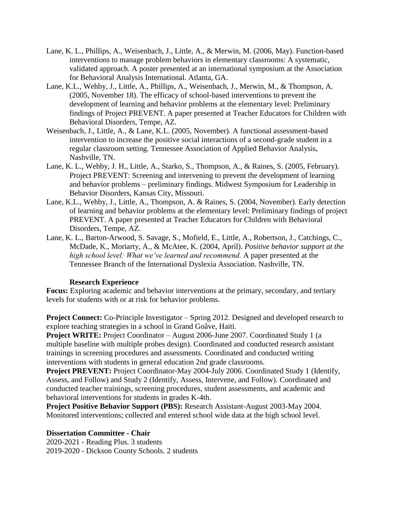- Lane, K. L., Phillips, A., Weisenbach, J., Little, A., & Merwin, M. (2006, May). Function-based interventions to manage problem behaviors in elementary classrooms: A systematic, validated approach. A poster presented at an international symposium at the Association for Behavioral Analysis International. Atlanta, GA.
- Lane, K.L., Wehby, J., Little, A., Phillips, A., Weisenbach, J., Merwin, M., & Thompson, A. (2005, November 18). The efficacy of school-based interventions to prevent the development of learning and behavior problems at the elementary level: Preliminary findings of Project PREVENT. A paper presented at Teacher Educators for Children with Behavioral Disorders, Tempe, AZ.
- Weisenbach, J., Little, A., & Lane, K.L. (2005, November). A functional assessment-based intervention to increase the positive social interactions of a second-grade student in a regular classroom setting. Tennessee Association of Applied Behavior Analysis, Nashville, TN.
- Lane, K. L., Wehby, J. H., Little, A., Starko, S., Thompson, A., & Raines, S. (2005, February). Project PREVENT: Screening and intervening to prevent the development of learning and behavior problems – preliminary findings. Midwest Symposium for Leadership in Behavior Disorders, Kansas City, Missouri.
- Lane, K.L., Wehby, J., Little, A., Thompson, A. & Raines, S. (2004, November). Early detection of learning and behavior problems at the elementary level: Preliminary findings of project PREVENT. A paper presented at Teacher Educators for Children with Behavioral Disorders, Tempe, AZ.
- Lane, K. L., Barton-Arwood, S. Savage, S., Mofield, E., Little, A., Robertson, J., Catchings, C., McDade, K., Moriarty, A., & McAtee, K. (2004, April). *Positive behavior support at the high school level: What we've learned and recommend.* A paper presented at the Tennessee Branch of the International Dyslexia Association. Nashville, TN.

# **Research Experience**

**Focus:** Exploring academic and behavior interventions at the primary, secondary, and tertiary levels for students with or at risk for behavior problems.

**Project Connect:** Co-Principle Investigator – Spring 2012. Designed and developed research to explore teaching strategies in a school in Grand Goâve, Haiti.

**Project WRITE:** Project Coordinator – August 2006-June 2007. Coordinated Study 1 (a multiple baseline with multiple probes design). Coordinated and conducted research assistant trainings in screening procedures and assessments. Coordinated and conducted writing interventions with students in general education 2nd grade classrooms.

Project PREVENT: Project Coordinator-May 2004-July 2006. Coordinated Study 1 (Identify, Assess, and Follow) and Study 2 (Identify, Assess, Intervene, and Follow). Coordinated and conducted teacher trainings, screening procedures, student assessments, and academic and behavioral interventions for students in grades K-4th.

**Project Positive Behavior Support (PBS):** Research Assistant-August 2003-May 2004. Monitored interventions; collected and entered school wide data at the high school level.

# **Dissertation Committee - Chair**

2020-2021 - Reading Plus. 3 students 2019-2020 - Dickson County Schools. 2 students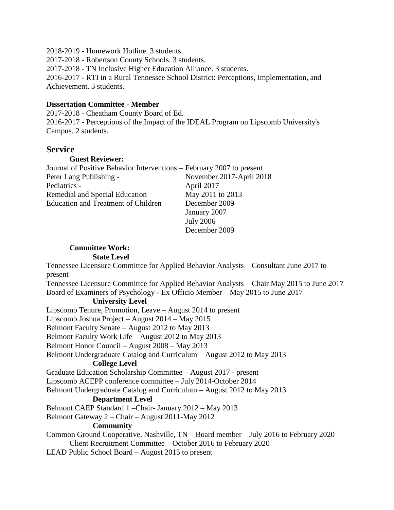2018-2019 - Homework Hotline. 3 students. 2017-2018 - Robertson County Schools. 3 students. 2017-2018 - TN Inclusive Higher Education Alliance. 3 students. 2016-2017 - RTI in a Rural Tennessee School District: Perceptions, Implementation, and Achievement. 3 students.

# **Dissertation Committee - Member**

2017-2018 - Cheatham County Board of Ed. 2016-2017 - Perceptions of the Impact of the IDEAL Program on Lipscomb University's Campus. 2 students.

# **Service**

# **Guest Reviewer:**

| Journal of Positive Behavior Interventions – February 2007 to present |                          |
|-----------------------------------------------------------------------|--------------------------|
| Peter Lang Publishing -                                               | November 2017-April 2018 |
| Pediatrics -                                                          | April 2017               |
| Remedial and Special Education -                                      | May 2011 to 2013         |
| Education and Treatment of Children –                                 | December 2009            |
|                                                                       | January 2007             |
|                                                                       | <b>July 2006</b>         |

# **Committee Work: State Level**

Tennessee Licensure Committee for Applied Behavior Analysts – Consultant June 2017 to present

Tennessee Licensure Committee for Applied Behavior Analysts – Chair May 2015 to June 2017 Board of Examiners of Psychology - Ex Officio Member – May 2015 to June 2017

December 2009

# **University Level**

Lipscomb Tenure, Promotion, Leave – August 2014 to present Lipscomb Joshua Project – August 2014 – May 2015 Belmont Faculty Senate – August 2012 to May 2013 Belmont Faculty Work Life – August 2012 to May 2013 Belmont Honor Council – August 2008 – May 2013 Belmont Undergraduate Catalog and Curriculum – August 2012 to May 2013 **College Level**  Graduate Education Scholarship Committee – August 2017 - present Lipscomb ACEPP conference committee – July 2014-October 2014 Belmont Undergraduate Catalog and Curriculum – August 2012 to May 2013 **Department Level**  Belmont CAEP Standard 1 –Chair- January 2012 – May 2013 Belmont Gateway 2 – Chair – August 2011-May 2012 **Community** Common Ground Cooperative, Nashville, TN – Board member – July 2016 to February 2020 Client Recruitment Committee – October 2016 to February 2020

LEAD Public School Board – August 2015 to present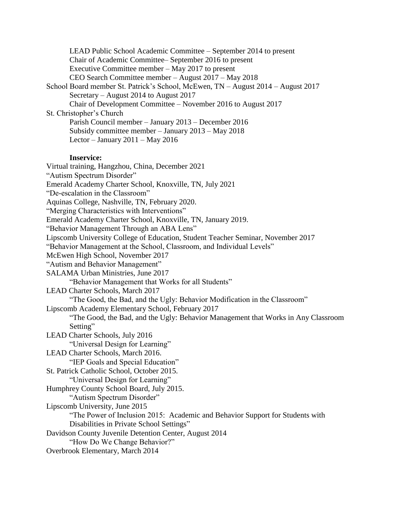LEAD Public School Academic Committee – September 2014 to present Chair of Academic Committee– September 2016 to present Executive Committee member – May 2017 to present CEO Search Committee member – August 2017 – May 2018 School Board member St. Patrick's School, McEwen, TN – August 2014 – August 2017 Secretary – August 2014 to August 2017 Chair of Development Committee – November 2016 to August 2017 St. Christopher's Church Parish Council member – January 2013 – December 2016 Subsidy committee member – January 2013 – May 2018 Lector – January  $2011$  – May  $2016$ 

#### **Inservice:**

Virtual training, Hangzhou, China, December 2021 "Autism Spectrum Disorder" Emerald Academy Charter School, Knoxville, TN, July 2021 "De-escalation in the Classroom" Aquinas College, Nashville, TN, February 2020. "Merging Characteristics with Interventions" Emerald Academy Charter School, Knoxville, TN, January 2019. "Behavior Management Through an ABA Lens" Lipscomb University College of Education, Student Teacher Seminar, November 2017 "Behavior Management at the School, Classroom, and Individual Levels" McEwen High School, November 2017 "Autism and Behavior Management" SALAMA Urban Ministries, June 2017 "Behavior Management that Works for all Students" LEAD Charter Schools, March 2017 "The Good, the Bad, and the Ugly: Behavior Modification in the Classroom" Lipscomb Academy Elementary School, February 2017 "The Good, the Bad, and the Ugly: Behavior Management that Works in Any Classroom Setting" LEAD Charter Schools, July 2016 "Universal Design for Learning" LEAD Charter Schools, March 2016. "IEP Goals and Special Education" St. Patrick Catholic School, October 2015. "Universal Design for Learning" Humphrey County School Board, July 2015. "Autism Spectrum Disorder" Lipscomb University, June 2015 "The Power of Inclusion 2015: Academic and Behavior Support for Students with Disabilities in Private School Settings" Davidson County Juvenile Detention Center, August 2014 "How Do We Change Behavior?" Overbrook Elementary, March 2014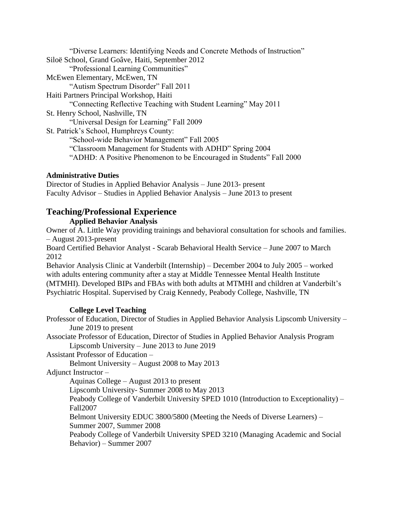"Diverse Learners: Identifying Needs and Concrete Methods of Instruction" Siloë School, Grand Goâve, Haiti, September 2012 "Professional Learning Communities" McEwen Elementary, McEwen, TN "Autism Spectrum Disorder" Fall 2011 Haiti Partners Principal Workshop, Haiti "Connecting Reflective Teaching with Student Learning" May 2011 St. Henry School, Nashville, TN "Universal Design for Learning" Fall 2009 St. Patrick's School, Humphreys County: "School-wide Behavior Management" Fall 2005 "Classroom Management for Students with ADHD" Spring 2004 "ADHD: A Positive Phenomenon to be Encouraged in Students" Fall 2000

# **Administrative Duties**

Director of Studies in Applied Behavior Analysis – June 2013- present Faculty Advisor – Studies in Applied Behavior Analysis – June 2013 to present

# **Teaching/Professional Experience**

**Applied Behavior Analysis** 

Owner of A. Little Way providing trainings and behavioral consultation for schools and families. – August 2013-present

Board Certified Behavior Analyst - Scarab Behavioral Health Service – June 2007 to March 2012

Behavior Analysis Clinic at Vanderbilt (Internship) – December 2004 to July 2005 – worked with adults entering community after a stay at Middle Tennessee Mental Health Institute (MTMHI). Developed BIPs and FBAs with both adults at MTMHI and children at Vanderbilt's Psychiatric Hospital. Supervised by Craig Kennedy, Peabody College, Nashville, TN

# **College Level Teaching**

Professor of Education, Director of Studies in Applied Behavior Analysis Lipscomb University – June 2019 to present

Associate Professor of Education, Director of Studies in Applied Behavior Analysis Program Lipscomb University – June 2013 to June 2019

Assistant Professor of Education –

Belmont University – August 2008 to May 2013

Adjunct Instructor –

Aquinas College – August 2013 to present

Lipscomb University- Summer 2008 to May 2013

Peabody College of Vanderbilt University SPED 1010 (Introduction to Exceptionality) – Fall2007

Belmont University EDUC 3800/5800 (Meeting the Needs of Diverse Learners) – Summer 2007, Summer 2008

Peabody College of Vanderbilt University SPED 3210 (Managing Academic and Social Behavior) – Summer 2007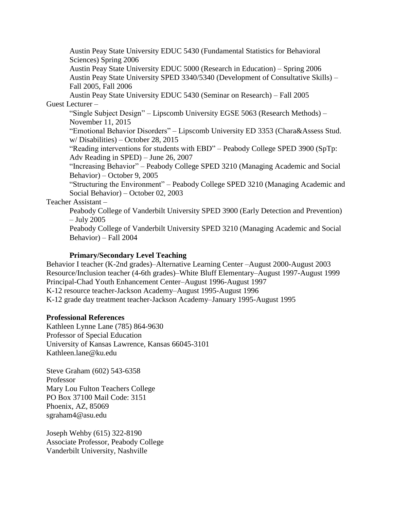Austin Peay State University EDUC 5430 (Fundamental Statistics for Behavioral Sciences) Spring 2006

Austin Peay State University EDUC 5000 (Research in Education) – Spring 2006 Austin Peay State University SPED 3340/5340 (Development of Consultative Skills) – Fall 2005, Fall 2006

Austin Peay State University EDUC 5430 (Seminar on Research) – Fall 2005 Guest Lecturer –

"Single Subject Design" – Lipscomb University EGSE 5063 (Research Methods) – November 11, 2015

"Emotional Behavior Disorders" – Lipscomb University ED 3353 (Chara&Assess Stud. w/ Disabilities) – October 28, 2015

"Reading interventions for students with EBD" – Peabody College SPED 3900 (SpTp: Adv Reading in SPED) – June 26, 2007

"Increasing Behavior" – Peabody College SPED 3210 (Managing Academic and Social Behavior) – October 9, 2005

"Structuring the Environment" – Peabody College SPED 3210 (Managing Academic and Social Behavior) – October 02, 2003

Teacher Assistant –

Peabody College of Vanderbilt University SPED 3900 (Early Detection and Prevention) – July 2005

Peabody College of Vanderbilt University SPED 3210 (Managing Academic and Social Behavior) – Fall 2004

# **Primary/Secondary Level Teaching**

Behavior I teacher (K-2nd grades)–Alternative Learning Center –August 2000-August 2003 Resource/Inclusion teacher (4-6th grades)–White Bluff Elementary–August 1997-August 1999 Principal-Chad Youth Enhancement Center–August 1996-August 1997 K-12 resource teacher-Jackson Academy–August 1995-August 1996 K-12 grade day treatment teacher-Jackson Academy–January 1995-August 1995

# **Professional References**

Kathleen Lynne Lane (785) 864-9630 Professor of Special Education University of Kansas Lawrence, Kansas 66045-3101 Kathleen.lane@ku.edu

Steve Graham (602) 543-6358 Professor Mary Lou Fulton Teachers College PO Box 37100 Mail Code: 3151 Phoenix, AZ, 85069 sgraham4@asu.edu

Joseph Wehby (615) 322-8190 Associate Professor, Peabody College Vanderbilt University, Nashville